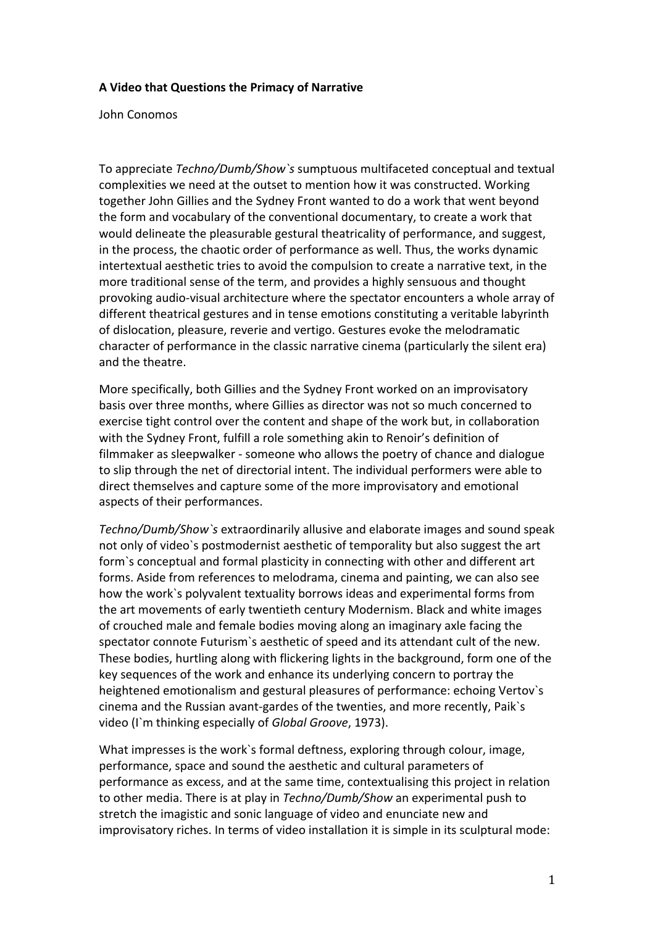## **A Video that Questions the Primacy of Narrative**

John Conomos

To appreciate *Techno/Dumb/Show`s* sumptuous multifaceted conceptual and textual complexities we need at the outset to mention how it was constructed. Working together John Gillies and the Sydney Front wanted to do a work that went beyond the form and vocabulary of the conventional documentary, to create a work that would delineate the pleasurable gestural theatricality of performance, and suggest, in the process, the chaotic order of performance as well. Thus, the works dynamic intertextual aesthetic tries to avoid the compulsion to create a narrative text, in the more traditional sense of the term, and provides a highly sensuous and thought provoking audio‐visual architecture where the spectator encounters a whole array of different theatrical gestures and in tense emotions constituting a veritable labyrinth of dislocation, pleasure, reverie and vertigo. Gestures evoke the melodramatic character of performance in the classic narrative cinema (particularly the silent era) and the theatre.

More specifically, both Gillies and the Sydney Front worked on an improvisatory basis over three months, where Gillies as director was not so much concerned to exercise tight control over the content and shape of the work but, in collaboration with the Sydney Front, fulfill a role something akin to Renoir's definition of filmmaker as sleepwalker ‐ someone who allows the poetry of chance and dialogue to slip through the net of directorial intent. The individual performers were able to direct themselves and capture some of the more improvisatory and emotional aspects of their performances.

*Techno/Dumb/Show`s* extraordinarily allusive and elaborate images and sound speak not only of video`s postmodernist aesthetic of temporality but also suggest the art form`s conceptual and formal plasticity in connecting with other and different art forms. Aside from references to melodrama, cinema and painting, we can also see how the work`s polyvalent textuality borrows ideas and experimental forms from the art movements of early twentieth century Modernism. Black and white images of crouched male and female bodies moving along an imaginary axle facing the spectator connote Futurism`s aesthetic of speed and its attendant cult of the new. These bodies, hurtling along with flickering lights in the background, form one of the key sequences of the work and enhance its underlying concern to portray the heightened emotionalism and gestural pleasures of performance: echoing Vertov`s cinema and the Russian avant‐gardes of the twenties, and more recently, Paik`s video (I`m thinking especially of *Global Groove*, 1973).

What impresses is the work`s formal deftness, exploring through colour, image, performance, space and sound the aesthetic and cultural parameters of performance as excess, and at the same time, contextualising this project in relation to other media. There is at play in *Techno/Dumb/Show* an experimental push to stretch the imagistic and sonic language of video and enunciate new and improvisatory riches. In terms of video installation it is simple in its sculptural mode: